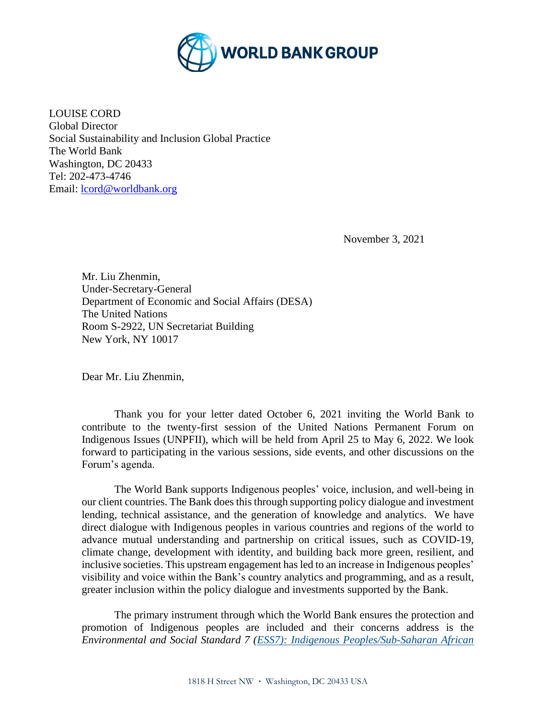

LOUISE CORD Global Director Social Sustainability and Inclusion Global Practice The World Bank Washington, DC 20433 Tel: 202-473-4746 Email: [lcord@worldbank.org](mailto:lcord@worldbank.org)

November 3, 2021

Mr. Liu Zhenmin, Under-Secretary-General Department of Economic and Social Affairs (DESA) The United Nations Room S-2922, UN Secretariat Building New York, NY 10017

Dear Mr. Liu Zhenmin,

Thank you for your letter dated October 6, 2021 inviting the World Bank to contribute to the twenty-first session of the United Nations Permanent Forum on Indigenous Issues (UNPFII), which will be held from April 25 to May 6, 2022. We look forward to participating in the various sessions, side events, and other discussions on the Forum's agenda.

The World Bank supports Indigenous peoples' voice, inclusion, and well-being in our client countries. The Bank does this through supporting policy dialogue and investment lending, technical assistance, and the generation of knowledge and analytics. We have direct dialogue with Indigenous peoples in various countries and regions of the world to advance mutual understanding and partnership on critical issues, such as COVID-19, climate change, development with identity, and building back more green, resilient, and inclusive societies. This upstream engagement has led to an increase in Indigenous peoples' visibility and voice within the Bank's country analytics and programming, and as a result, greater inclusion within the policy dialogue and investments supported by the Bank.

The primary instrument through which the World Bank ensures the protection and promotion of Indigenous peoples are included and their concerns address is the *Environmental and Social Standard 7 [\(ESS7\): Indigenous Peoples/Sub-Saharan African](https://pubdocs.worldbank.org/en/837721522762050108/Environmental-and-Social-Framework.pdf#page=89&zoom=80)*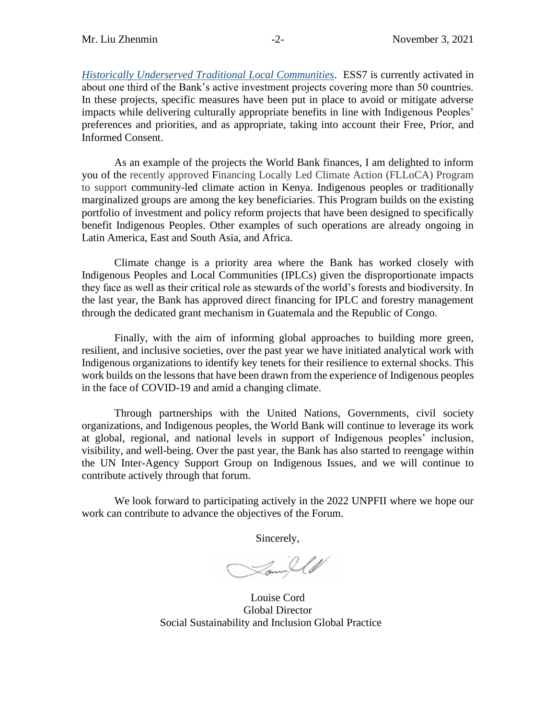*[Historically Underserved Traditional Local Communities](https://pubdocs.worldbank.org/en/837721522762050108/Environmental-and-Social-Framework.pdf#page=89&zoom=80)*. ESS7 is currently activated in about one third of the Bank's active investment projects covering more than 50 countries. In these projects, specific measures have been put in place to avoid or mitigate adverse impacts while delivering culturally appropriate benefits in line with Indigenous Peoples' preferences and priorities, and as appropriate, taking into account their Free, Prior, and Informed Consent.

As an example of the projects the World Bank finances, I am delighted to inform you of the recently approved Financing Locally Led Climate Action (FLLoCA) Program to support community-led climate action in Kenya. Indigenous peoples or traditionally marginalized groups are among the key beneficiaries. This Program builds on the existing portfolio of investment and policy reform projects that have been designed to specifically benefit Indigenous Peoples. Other examples of such operations are already ongoing in Latin America, East and South Asia, and Africa.

Climate change is a priority area where the Bank has worked closely with Indigenous Peoples and Local Communities (IPLCs) given the disproportionate impacts they face as well as their critical role as stewards of the world's forests and biodiversity. In the last year, the Bank has approved direct financing for IPLC and forestry management through the dedicated grant mechanism in Guatemala and the Republic of Congo.

Finally, with the aim of informing global approaches to building more green, resilient, and inclusive societies, over the past year we have initiated analytical work with Indigenous organizations to identify key tenets for their resilience to external shocks. This work builds on the lessons that have been drawn from the experience of Indigenous peoples in the face of COVID-19 and amid a changing climate.

Through partnerships with the United Nations, Governments, civil society organizations, and Indigenous peoples, the World Bank will continue to leverage its work at global, regional, and national levels in support of Indigenous peoples' inclusion, visibility, and well-being. Over the past year, the Bank has also started to reengage within the UN Inter-Agency Support Group on Indigenous Issues, and we will continue to contribute actively through that forum.

We look forward to participating actively in the 2022 UNPFII where we hope our work can contribute to advance the objectives of the Forum.

Sincerely,

Lowyll

Louise Cord Global Director Social Sustainability and Inclusion Global Practice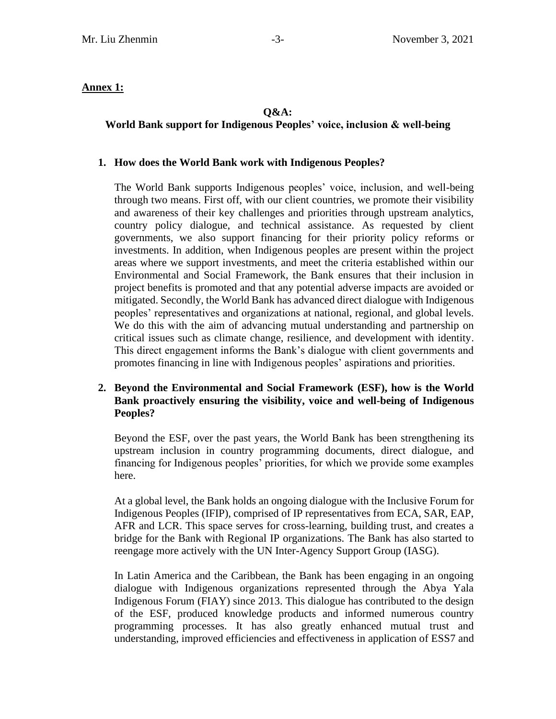## **Annex 1:**

# **Q&A:**

# **World Bank support for Indigenous Peoples' voice, inclusion & well-being**

### **1. How does the World Bank work with Indigenous Peoples?**

The World Bank supports Indigenous peoples' voice, inclusion, and well-being through two means. First off, with our client countries, we promote their visibility and awareness of their key challenges and priorities through upstream analytics, country policy dialogue, and technical assistance. As requested by client governments, we also support financing for their priority policy reforms or investments. In addition, when Indigenous peoples are present within the project areas where we support investments, and meet the criteria established within our Environmental and Social Framework, the Bank ensures that their inclusion in project benefits is promoted and that any potential adverse impacts are avoided or mitigated. Secondly, the World Bank has advanced direct dialogue with Indigenous peoples' representatives and organizations at national, regional, and global levels. We do this with the aim of advancing mutual understanding and partnership on critical issues such as climate change, resilience, and development with identity. This direct engagement informs the Bank's dialogue with client governments and promotes financing in line with Indigenous peoples' aspirations and priorities.

#### **2. Beyond the Environmental and Social Framework (ESF), how is the World Bank proactively ensuring the visibility, voice and well-being of Indigenous Peoples?**

Beyond the ESF, over the past years, the World Bank has been strengthening its upstream inclusion in country programming documents, direct dialogue, and financing for Indigenous peoples' priorities, for which we provide some examples here.

At a global level, the Bank holds an ongoing dialogue with the Inclusive Forum for Indigenous Peoples (IFIP), comprised of IP representatives from ECA, SAR, EAP, AFR and LCR. This space serves for cross-learning, building trust, and creates a bridge for the Bank with Regional IP organizations. The Bank has also started to reengage more actively with the UN Inter-Agency Support Group (IASG).

In Latin America and the Caribbean, the Bank has been engaging in an ongoing dialogue with Indigenous organizations represented through the Abya Yala Indigenous Forum (FIAY) since 2013. This dialogue has contributed to the design of the ESF, produced knowledge products and informed numerous country programming processes. It has also greatly enhanced mutual trust and understanding, improved efficiencies and effectiveness in application of ESS7 and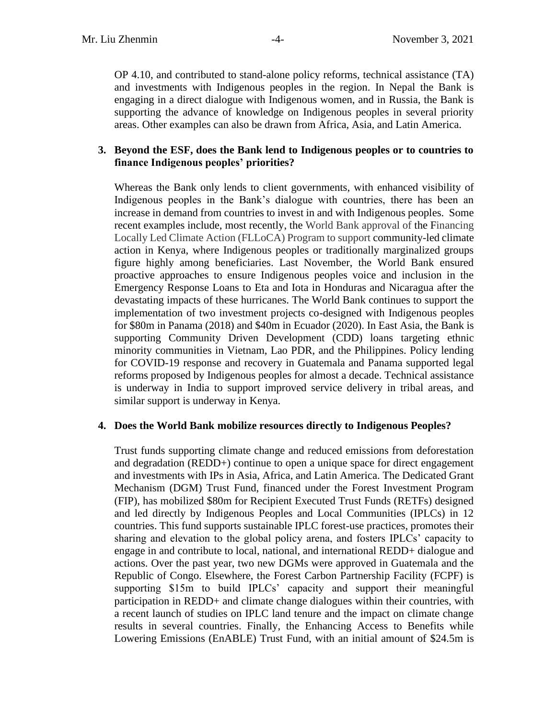OP 4.10, and contributed to stand-alone policy reforms, technical assistance (TA) and investments with Indigenous peoples in the region. In Nepal the Bank is engaging in a direct dialogue with Indigenous women, and in Russia, the Bank is supporting the advance of knowledge on Indigenous peoples in several priority areas. Other examples can also be drawn from Africa, Asia, and Latin America.

#### **3. Beyond the ESF, does the Bank lend to Indigenous peoples or to countries to finance Indigenous peoples' priorities?**

Whereas the Bank only lends to client governments, with enhanced visibility of Indigenous peoples in the Bank's dialogue with countries, there has been an increase in demand from countries to invest in and with Indigenous peoples. Some recent examples include, most recently, the World Bank approval of the Financing Locally Led Climate Action (FLLoCA) Program to support community-led climate action in Kenya, where Indigenous peoples or traditionally marginalized groups figure highly among beneficiaries. Last November, the World Bank ensured proactive approaches to ensure Indigenous peoples voice and inclusion in the Emergency Response Loans to Eta and Iota in Honduras and Nicaragua after the devastating impacts of these hurricanes. The World Bank continues to support the implementation of two investment projects co-designed with Indigenous peoples for \$80m in Panama (2018) and \$40m in Ecuador (2020). In East Asia, the Bank is supporting Community Driven Development (CDD) loans targeting ethnic minority communities in Vietnam, Lao PDR, and the Philippines. Policy lending for COVID-19 response and recovery in Guatemala and Panama supported legal reforms proposed by Indigenous peoples for almost a decade. Technical assistance is underway in India to support improved service delivery in tribal areas, and similar support is underway in Kenya.

#### **4. Does the World Bank mobilize resources directly to Indigenous Peoples?**

Trust funds supporting climate change and reduced emissions from deforestation and degradation (REDD+) continue to open a unique space for direct engagement and investments with IPs in Asia, Africa, and Latin America. The Dedicated Grant Mechanism (DGM) Trust Fund, financed under the Forest Investment Program (FIP), has mobilized \$80m for Recipient Executed Trust Funds (RETFs) designed and led directly by Indigenous Peoples and Local Communities (IPLCs) in 12 countries. This fund supports sustainable IPLC forest-use practices, promotes their sharing and elevation to the global policy arena, and fosters IPLCs' capacity to engage in and contribute to local, national, and international REDD+ dialogue and actions. Over the past year, two new DGMs were approved in Guatemala and the Republic of Congo. Elsewhere, the Forest Carbon Partnership Facility (FCPF) is supporting \$15m to build IPLCs' capacity and support their meaningful participation in REDD+ and climate change dialogues within their countries, with a recent launch of studies on IPLC land tenure and the impact on climate change results in several countries. Finally, the Enhancing Access to Benefits while Lowering Emissions (EnABLE) Trust Fund, with an initial amount of \$24.5m is